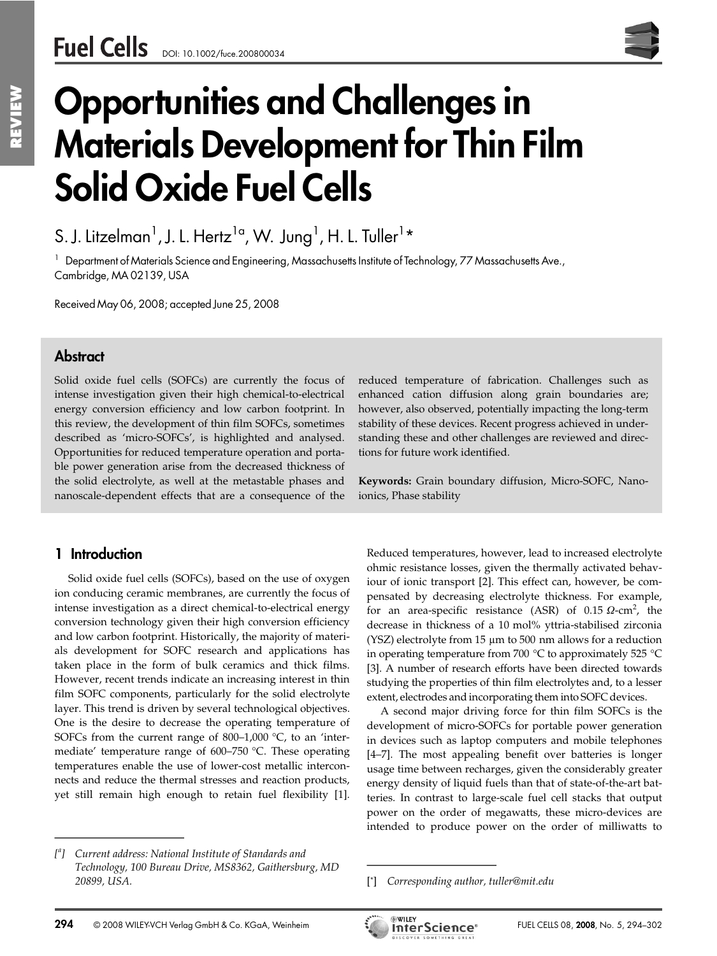# **Opportunities and Challenges in Materials Development for Thin Film Solid Oxide Fuel Cells**

S. J. Litzelman $^1$ , J. L. Hertz $^{1a}$ , W. Jung $^1$ , H. L. Tuller $^{1\,\star}$ 

 $1$  Department of Materials Science and Engineering, Massachusetts Institute of Technology, 77 Massachusetts Ave., Cambridge, MA 02139, USA

Received May 06, 2008; accepted June 25, 2008

## **Abstract**

**REVIEW**

Solid oxide fuel cells (SOFCs) are currently the focus of intense investigation given their high chemical-to-electrical energy conversion efficiency and low carbon footprint. In this review, the development of thin film SOFCs, sometimes described as 'micro-SOFCs', is highlighted and analysed. Opportunities for reduced temperature operation and portable power generation arise from the decreased thickness of the solid electrolyte, as well at the metastable phases and nanoscale-dependent effects that are a consequence of the

## **1 Introduction**

Solid oxide fuel cells (SOFCs), based on the use of oxygen ion conducing ceramic membranes, are currently the focus of intense investigation as a direct chemical-to-electrical energy conversion technology given their high conversion efficiency and low carbon footprint. Historically, the majority of materials development for SOFC research and applications has taken place in the form of bulk ceramics and thick films. However, recent trends indicate an increasing interest in thin film SOFC components, particularly for the solid electrolyte layer. This trend is driven by several technological objectives. One is the desire to decrease the operating temperature of SOFCs from the current range of 800–1,000 °C, to an 'intermediate' temperature range of 600–750 °C. These operating temperatures enable the use of lower-cost metallic interconnects and reduce the thermal stresses and reaction products, yet still remain high enough to retain fuel flexibility [1]. als development for SOF<br>taken place in the form of<br>However, recent trends ind<br>film SOFC components, pa<br>layer. This trend is driven l<br>One is the desire to decre<br>SOFCs from the current rail<br>mediate' temperature rang<br>temperat

reduced temperature of fabrication. Challenges such as enhanced cation diffusion along grain boundaries are; however, also observed, potentially impacting the long-term stability of these devices. Recent progress achieved in understanding these and other challenges are reviewed and directions for future work identified.

**Keywords:** Grain boundary diffusion, Micro-SOFC, Nanoionics, Phase stability

Reduced temperatures, however, lead to increased electrolyte ohmic resistance losses, given the thermally activated behaviour of ionic transport [2]. This effect can, however, be compensated by decreasing electrolyte thickness. For example, for an area-specific resistance (ASR) of  $0.15 \Omega$ -cm<sup>2</sup>, the decrease in thickness of a 10 mol% yttria-stabilised zirconia (YSZ) electrolyte from  $15 \mu m$  to  $500 \mu m$  allows for a reduction in operating temperature from 700 °C to approximately 525 °C [3]. A number of research efforts have been directed towards studying the properties of thin film electrolytes and, to a lesser extent, electrodes and incorporating them into SOFC devices.

A second major driving force for thin film SOFCs is the development of micro-SOFCs for portable power generation in devices such as laptop computers and mobile telephones [4–7]. The most appealing benefit over batteries is longer usage time between recharges, given the considerably greater energy density of liquid fuels than that of state-of-the-art batteries. In contrast to large-scale fuel cell stacks that output power on the order of megawatts, these micro-devices are intended to produce power on the order of milliwatts to studying the properties of the extent, electrodes and incorp<br>A second major driving<br>development of micro-SOP<br>in devices such as laptop<br>[4–7]. The most appealing<br>usage time between recharge<br>energy density of liquid fuderies



*<sup>[</sup> a ] Current address: National Institute of Standards and Technology, 100 Bureau Drive, MS8362, Gaithersburg, MD 20899, USA.*

<sup>[\*]</sup> *Corresponding author, tuller@mit.edu*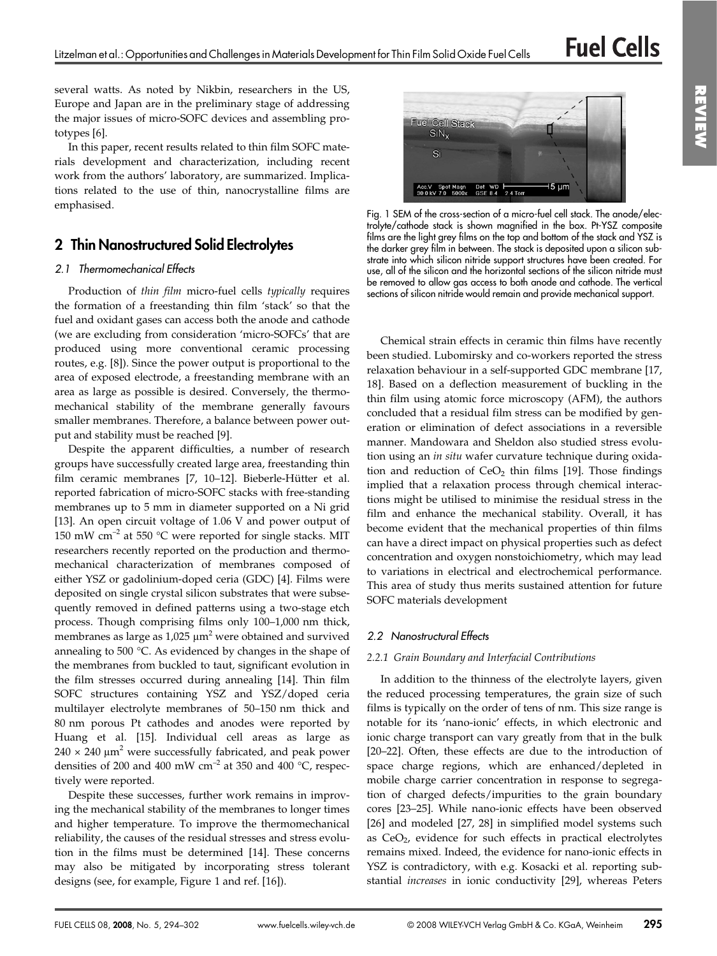several watts. As noted by Nikbin, researchers in the US, Europe and Japan are in the preliminary stage of addressing the major issues of micro-SOFC devices and assembling prototypes [6].

In this paper, recent results related to thin film SOFC materials development and characterization, including recent work from the authors' laboratory, are summarized. Implications related to the use of thin, nanocrystalline films are emphasised.

## **2 Thin Nanostructured Solid Electrolytes**

#### *2.1 Thermomechanical Effects*

Production of *thin film* micro-fuel cells *typically* requires the formation of a freestanding thin film 'stack' so that the fuel and oxidant gases can access both the anode and cathode (we are excluding from consideration 'micro-SOFCs' that are produced using more conventional ceramic processing routes, e.g. [8]). Since the power output is proportional to the area of exposed electrode, a freestanding membrane with an area as large as possible is desired. Conversely, the thermomechanical stability of the membrane generally favours smaller membranes. Therefore, a balance between power output and stability must be reached [9].

Despite the apparent difficulties, a number of research groups have successfully created large area, freestanding thin film ceramic membranes [7, 10–12]. Bieberle-Hütter et al. reported fabrication of micro-SOFC stacks with free-standing membranes up to 5 mm in diameter supported on a Ni grid [13]. An open circuit voltage of 1.06 V and power output of 150 mW  $cm^{-2}$  at 550 °C were reported for single stacks. MIT researchers recently reported on the production and thermomechanical characterization of membranes composed of either YSZ or gadolinium-doped ceria (GDC) [4]. Films were deposited on single crystal silicon substrates that were subsequently removed in defined patterns using a two-stage etch process. Though comprising films only 100–1,000 nm thick, membranes as large as  $1,025 \mu m^2$  were obtained and survived annealing to 500 °C. As evidenced by changes in the shape of the membranes from buckled to taut, significant evolution in the film stresses occurred during annealing [14]. Thin film SOFC structures containing YSZ and YSZ/doped ceria multilayer electrolyte membranes of 50–150 nm thick and 80 nm porous Pt cathodes and anodes were reported by Huang et al. [15]. Individual cell areas as large as  $240 \times 240$  µm<sup>2</sup> were successfully fabricated, and peak power densities of 200 and 400 mW  $cm^{-2}$  at 350 and 400 °C, respectively were reported.

Despite these successes, further work remains in improving the mechanical stability of the membranes to longer times and higher temperature. To improve the thermomechanical reliability, the causes of the residual stresses and stress evolution in the films must be determined [14]. These concerns may also be mitigated by incorporating stress tolerant designs (see, for example, Figure 1 and ref. [16]).



Fig. 1 SEM of the cross-section of a micro-fuel cell stack. The anode/electrolyte/cathode stack is shown magnified in the box. Pt-YSZ composite films are the light grey films on the top and bottom of the stack and YSZ is the darker grey film in between. The stack is deposited upon a silicon substrate into which silicon nitride support structures have been created. For use, all of the silicon and the horizontal sections of the silicon nitride must be removed to allow gas access to both anode and cathode. The vertical sections of silicon nitride would remain and provide mechanical support.

Chemical strain effects in ceramic thin films have recently been studied. Lubomirsky and co-workers reported the stress relaxation behaviour in a self-supported GDC membrane [17, 18]. Based on a deflection measurement of buckling in the thin film using atomic force microscopy (AFM), the authors concluded that a residual film stress can be modified by generation or elimination of defect associations in a reversible manner. Mandowara and Sheldon also studied stress evolution using an *in situ* wafer curvature technique during oxidation and reduction of  $CeO<sub>2</sub>$  thin films [19]. Those findings implied that a relaxation process through chemical interactions might be utilised to minimise the residual stress in the film and enhance the mechanical stability. Overall, it has become evident that the mechanical properties of thin films can have a direct impact on physical properties such as defect concentration and oxygen nonstoichiometry, which may lead to variations in electrical and electrochemical performance. This area of study thus merits sustained attention for future SOFC materials development

#### *2.2 Nanostructural Effects*

#### *2.2.1 Grain Boundary and Interfacial Contributions*

In addition to the thinness of the electrolyte layers, given the reduced processing temperatures, the grain size of such films is typically on the order of tens of nm. This size range is notable for its 'nano-ionic' effects, in which electronic and ionic charge transport can vary greatly from that in the bulk [20–22]. Often, these effects are due to the introduction of space charge regions, which are enhanced/depleted in mobile charge carrier concentration in response to segregation of charged defects/impurities to the grain boundary cores [23–25]. While nano-ionic effects have been observed [26] and modeled [27, 28] in simplified model systems such as  $CeO<sub>2</sub>$ , evidence for such effects in practical electrolytes remains mixed. Indeed, the evidence for nano-ionic effects in YSZ is contradictory, with e.g. Kosacki et al. reporting substantial *increases* in ionic conductivity [29], whereas Peters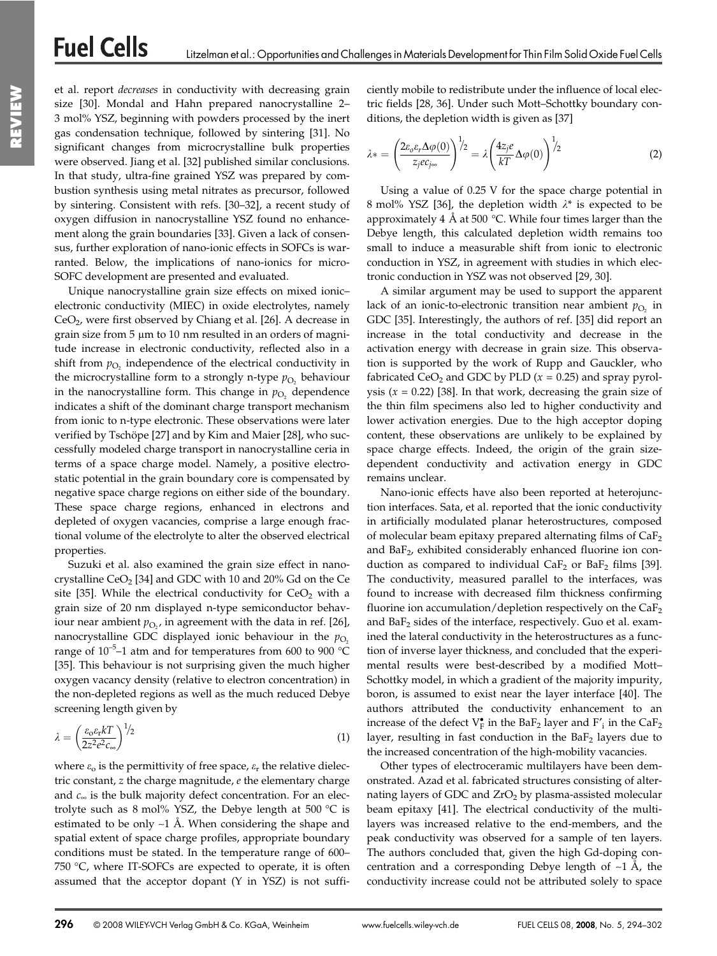**Fuel Cells** 

et al. report *decreases* in conductivity with decreasing grain size [30]. Mondal and Hahn prepared nanocrystalline 2– 3 mol% YSZ, beginning with powders processed by the inert gas condensation technique, followed by sintering [31]. No significant changes from microcrystalline bulk properties were observed. Jiang et al. [32] published similar conclusions. In that study, ultra-fine grained YSZ was prepared by combustion synthesis using metal nitrates as precursor, followed by sintering. Consistent with refs. [30–32], a recent study of oxygen diffusion in nanocrystalline YSZ found no enhancement along the grain boundaries [33]. Given a lack of consensus, further exploration of nano-ionic effects in SOFCs is warranted. Below, the implications of nano-ionics for micro-SOFC development are presented and evaluated.

Unique nanocrystalline grain size effects on mixed ionic– electronic conductivity (MIEC) in oxide electrolytes, namely CeO2, were first observed by Chiang et al. [26]. A decrease in grain size from  $5 \mu m$  to 10 nm resulted in an orders of magnitude increase in electronic conductivity, reflected also in a shift from  $p_{O<sub>2</sub>}$  independence of the electrical conductivity in the microcrystalline form to a strongly n-type  $p_{\text{O}_2}$  behaviour in the nanocrystalline form. This change in  $p_{O<sub>2</sub>}$  dependence indicates a shift of the dominant charge transport mechanism from ionic to n-type electronic. These observations were later verified by Tschöpe [27] and by Kim and Maier [28], who successfully modeled charge transport in nanocrystalline ceria in terms of a space charge model. Namely, a positive electrostatic potential in the grain boundary core is compensated by negative space charge regions on either side of the boundary. These space charge regions, enhanced in electrons and depleted of oxygen vacancies, comprise a large enough fractional volume of the electrolyte to alter the observed electrical properties.

Suzuki et al. also examined the grain size effect in nanocrystalline  $CeO<sub>2</sub>$  [34] and GDC with 10 and 20% Gd on the Ce site [35]. While the electrical conductivity for  $CeO<sub>2</sub>$  with a grain size of 20 nm displayed n-type semiconductor behaviour near ambient  $p_{\text{O}_2}$ , in agreement with the data in ref. [26], nanocrystalline GDC displayed ionic behaviour in the  $p_{O<sub>2</sub>}$ range of  $10^{-5}$ –1 atm and for temperatures from 600 to 900 °C [35]. This behaviour is not surprising given the much higher oxygen vacancy density (relative to electron concentration) in the non-depleted regions as well as the much reduced Debye screening length given by

$$
\lambda = \left(\frac{\varepsilon_{\rm o}\varepsilon_{\rm r}kT}{2z^2e^2\mathcal{C}_{\infty}}\right)^{1/2} \tag{1}
$$

where  $\varepsilon$ <sub>o</sub> is the permittivity of free space,  $\varepsilon$ <sub>r</sub> the relative dielectric constant, *z* the charge magnitude, *e* the elementary charge and *c*∞ is the bulk majority defect concentration. For an electrolyte such as 8 mol% YSZ, the Debye length at 500  $\degree$ C is estimated to be only ∼1 Å. When considering the shape and spatial extent of space charge profiles, appropriate boundary conditions must be stated. In the temperature range of 600– 750 °C, where IT-SOFCs are expected to operate, it is often assumed that the acceptor dopant (Y in YSZ) is not sufficiently mobile to redistribute under the influence of local electric fields [28, 36]. Under such Mott–Schottky boundary conditions, the depletion width is given as [37]

$$
\lambda* = \left(\frac{2\varepsilon_o \varepsilon_r \Delta \varphi(0)}{z_j e c_{j\infty}}\right)^{1/2} = \lambda \left(\frac{4z_j e}{kT} \Delta \varphi(0)\right)^{1/2} \tag{2}
$$

Using a value of 0.25 V for the space charge potential in 8 mol% YSZ [36], the depletion width  $\lambda^*$  is expected to be approximately 4 Å at 500  $^{\circ}$ C. While four times larger than the Debye length, this calculated depletion width remains too small to induce a measurable shift from ionic to electronic conduction in YSZ, in agreement with studies in which electronic conduction in YSZ was not observed [29, 30].

A similar argument may be used to support the apparent lack of an ionic-to-electronic transition near ambient  $p_{\text{O}_2}$  in GDC [35]. Interestingly, the authors of ref. [35] did report an increase in the total conductivity and decrease in the activation energy with decrease in grain size. This observation is supported by the work of Rupp and Gauckler, who fabricated CeO<sub>2</sub> and GDC by PLD ( $x = 0.25$ ) and spray pyrolysis  $(x = 0.22)$  [38]. In that work, decreasing the grain size of the thin film specimens also led to higher conductivity and lower activation energies. Due to the high acceptor doping content, these observations are unlikely to be explained by space charge effects. Indeed, the origin of the grain sizedependent conductivity and activation energy in GDC remains unclear.

Nano-ionic effects have also been reported at heterojunction interfaces. Sata, et al. reported that the ionic conductivity in artificially modulated planar heterostructures, composed of molecular beam epitaxy prepared alternating films of CaF<sub>2</sub> and  $BaF<sub>2</sub>$ , exhibited considerably enhanced fluorine ion conduction as compared to individual Ca $F_2$  or Ba $F_2$  films [39]. The conductivity, measured parallel to the interfaces, was found to increase with decreased film thickness confirming fluorine ion accumulation/depletion respectively on the  $CaF<sub>2</sub>$ and  $BaF<sub>2</sub>$  sides of the interface, respectively. Guo et al. examined the lateral conductivity in the heterostructures as a function of inverse layer thickness, and concluded that the experimental results were best-described by a modified Mott– Schottky model, in which a gradient of the majority impurity, boron, is assumed to exist near the layer interface [40]. The authors attributed the conductivity enhancement to an increase of the defect  $V_F^{\bullet}$  in the BaF<sub>2</sub> layer and F'<sub>i</sub> in the CaF<sub>2</sub> layer, resulting in fast conduction in the  $BaF<sub>2</sub>$  layers due to the increased concentration of the high-mobility vacancies.

Other types of electroceramic multilayers have been demonstrated. Azad et al. fabricated structures consisting of alternating layers of GDC and  $ZrO<sub>2</sub>$  by plasma-assisted molecular beam epitaxy [41]. The electrical conductivity of the multilayers was increased relative to the end-members, and the peak conductivity was observed for a sample of ten layers. The authors concluded that, given the high Gd-doping concentration and a corresponding Debye length of ∼1 Å, the conductivity increase could not be attributed solely to space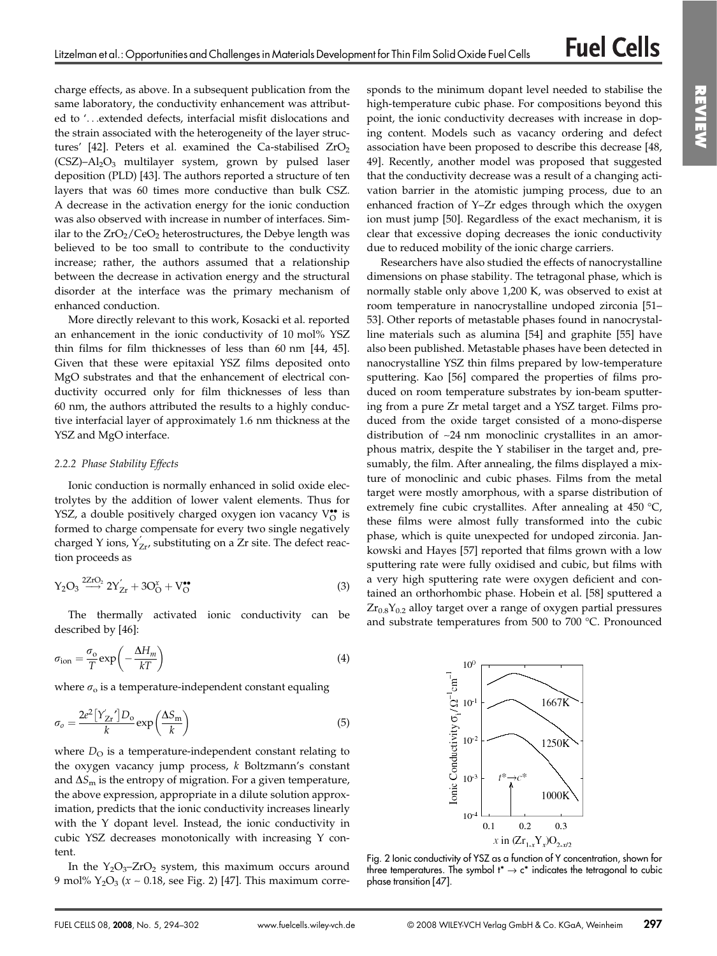charge effects, as above. In a subsequent publication from the same laboratory, the conductivity enhancement was attributed to '... extended defects, interfacial misfit dislocations and the strain associated with the heterogeneity of the layer structures' [42]. Peters et al. examined the Ca-stabilised  $ZrO<sub>2</sub>$  $(CSZ)$ –Al<sub>2</sub>O<sub>3</sub> multilayer system, grown by pulsed laser deposition (PLD) [43]. The authors reported a structure of ten layers that was 60 times more conductive than bulk CSZ. A decrease in the activation energy for the ionic conduction was also observed with increase in number of interfaces. Similar to the  $ZrO<sub>2</sub>/CeO<sub>2</sub>$  heterostructures, the Debye length was believed to be too small to contribute to the conductivity increase; rather, the authors assumed that a relationship between the decrease in activation energy and the structural disorder at the interface was the primary mechanism of enhanced conduction.

More directly relevant to this work, Kosacki et al. reported an enhancement in the ionic conductivity of 10 mol% YSZ thin films for film thicknesses of less than 60 nm [44, 45]. Given that these were epitaxial YSZ films deposited onto MgO substrates and that the enhancement of electrical conductivity occurred only for film thicknesses of less than 60 nm, the authors attributed the results to a highly conductive interfacial layer of approximately 1.6 nm thickness at the YSZ and MgO interface.

#### *2.2.2 Phase Stability Effects*

Ionic conduction is normally enhanced in solid oxide electrolytes by the addition of lower valent elements. Thus for YSZ, a double positively charged oxygen ion vacancy  $\mathrm{V}_{\mathrm{O}}^{\bullet\bullet}$  is formed to charge compensate for every two single negatively charged Y ions,  $Y^{'}_{Zr}$ , substituting on a Zr site. The defect reaction proceeds as

$$
Y_2O_3 \xrightarrow{2ZrO_2} 2Y'_{Zr} + 3O_O^x + V_O^{\bullet\bullet}
$$
 (3)

The thermally activated ionic conductivity can be described by [46]:

$$
\sigma_{\rm ion} = \frac{\sigma_{\rm o}}{T} \exp\left(-\frac{\Delta H_m}{kT}\right) \tag{4}
$$

where  $\sigma_0$  is a temperature-independent constant equaling

$$
\sigma_o = \frac{2e^2 \left[ Y_{Zr} \prime \right] D_o}{k} \exp\left(\frac{\Delta S_m}{k}\right) \tag{5}
$$

where  $D_{\Omega}$  is a temperature-independent constant relating to the oxygen vacancy jump process, *k* Boltzmann's constant and  $\Delta S_{\text{m}}$  is the entropy of migration. For a given temperature, the above expression, appropriate in a dilute solution approximation, predicts that the ionic conductivity increases linearly with the Y dopant level. Instead, the ionic conductivity in cubic YSZ decreases monotonically with increasing Y content.

In the  $Y_2O_3$ -ZrO<sub>2</sub> system, this maximum occurs around 9 mol% Y<sub>2</sub>O<sub>3</sub> (*x* ∼ 0.18, see Fig. 2) [47]. This maximum corresponds to the minimum dopant level needed to stabilise the high-temperature cubic phase. For compositions beyond this point, the ionic conductivity decreases with increase in doping content. Models such as vacancy ordering and defect association have been proposed to describe this decrease [48, 49]. Recently, another model was proposed that suggested that the conductivity decrease was a result of a changing activation barrier in the atomistic jumping process, due to an enhanced fraction of Y–Zr edges through which the oxygen ion must jump [50]. Regardless of the exact mechanism, it is clear that excessive doping decreases the ionic conductivity due to reduced mobility of the ionic charge carriers.

Researchers have also studied the effects of nanocrystalline dimensions on phase stability. The tetragonal phase, which is normally stable only above 1,200 K, was observed to exist at room temperature in nanocrystalline undoped zirconia [51– 53]. Other reports of metastable phases found in nanocrystalline materials such as alumina [54] and graphite [55] have also been published. Metastable phases have been detected in nanocrystalline YSZ thin films prepared by low-temperature sputtering. Kao [56] compared the properties of films produced on room temperature substrates by ion-beam sputtering from a pure Zr metal target and a YSZ target. Films produced from the oxide target consisted of a mono-disperse distribution of ∼24 nm monoclinic crystallites in an amorphous matrix, despite the Y stabiliser in the target and, presumably, the film. After annealing, the films displayed a mixture of monoclinic and cubic phases. Films from the metal target were mostly amorphous, with a sparse distribution of extremely fine cubic crystallites. After annealing at 450 °C, these films were almost fully transformed into the cubic phase, which is quite unexpected for undoped zirconia. Jankowski and Hayes [57] reported that films grown with a low sputtering rate were fully oxidised and cubic, but films with a very high sputtering rate were oxygen deficient and contained an orthorhombic phase. Hobein et al. [58] sputtered a  $Zr_{0.8}Y_{0.2}$  alloy target over a range of oxygen partial pressures and substrate temperatures from 500 to 700 °C. Pronounced



Fig. 2 Ionic conductivity of YSZ as a function of Y concentration, shown for three temperatures. The symbol  $t^* \rightarrow c^*$  indicates the tetragonal to cubic phase transition [47].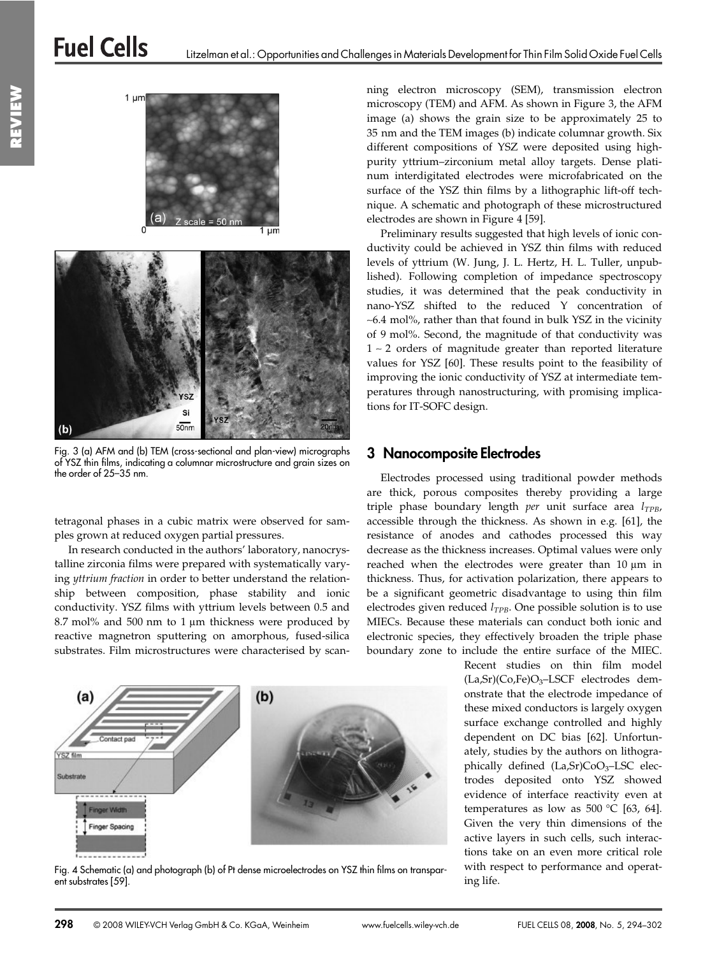$(b)$ 

**Fuel Cells** 



Fig. 3 (a) AFM and (b) TEM (cross-sectional and plan-view) micrographs of YSZ thin films, indicating a columnar microstructure and grain sizes on the order of 25–35 nm.

 $50<sub>nm</sub>$ 

tetragonal phases in a cubic matrix were observed for samples grown at reduced oxygen partial pressures.

In research conducted in the authors' laboratory, nanocrystalline zirconia films were prepared with systematically varying *yttrium fraction* in order to better understand the relationship between composition, phase stability and ionic conductivity. YSZ films with yttrium levels between 0.5 and  $8.7$  mol% and  $500$  nm to 1  $\mu$ m thickness were produced by reactive magnetron sputtering on amorphous, fused-silica substrates. Film microstructures were characterised by scan-



Fig. 4 Schematic (a) and photograph (b) of Pt dense microelectrodes on YSZ thin films on transparent substrates [59].

ning electron microscopy (SEM), transmission electron microscopy (TEM) and AFM. As shown in Figure 3, the AFM image (a) shows the grain size to be approximately 25 to 35 nm and the TEM images (b) indicate columnar growth. Six different compositions of YSZ were deposited using highpurity yttrium–zirconium metal alloy targets. Dense platinum interdigitated electrodes were microfabricated on the surface of the YSZ thin films by a lithographic lift-off technique. A schematic and photograph of these microstructured electrodes are shown in Figure 4 [59].

Preliminary results suggested that high levels of ionic conductivity could be achieved in YSZ thin films with reduced levels of yttrium (W. Jung, J. L. Hertz, H. L. Tuller, unpublished). Following completion of impedance spectroscopy studies, it was determined that the peak conductivity in nano-YSZ shifted to the reduced Y concentration of ∼6.4 mol%, rather than that found in bulk YSZ in the vicinity of 9 mol%. Second, the magnitude of that conductivity was 1 ∼ 2 orders of magnitude greater than reported literature values for YSZ [60]. These results point to the feasibility of improving the ionic conductivity of YSZ at intermediate temperatures through nanostructuring, with promising implications for IT-SOFC design.

### **3 Nanocomposite Electrodes**

Litzelman et al.: Opportunities and Challenges in Materials Development for Thin Film Solid Oxide Fuel Cells

Electrodes processed using traditional powder methods are thick, porous composites thereby providing a large triple phase boundary length *per* unit surface area  $l_{TPB}$ , accessible through the thickness. As shown in e.g. [61], the resistance of anodes and cathodes processed this way decrease as the thickness increases. Optimal values were only reached when the electrodes were greater than  $10 \mu m$  in thickness. Thus, for activation polarization, there appears to be a significant geometric disadvantage to using thin film electrodes given reduced  $l_{TPB}$ . One possible solution is to use MIECs. Because these materials can conduct both ionic and electronic species, they effectively broaden the triple phase boundary zone to include the entire surface of the MIEC.

> Recent studies on thin film model  $(La, Sr)(Co, Fe)O<sub>3</sub>-LSCF$  electrodes demonstrate that the electrode impedance of these mixed conductors is largely oxygen surface exchange controlled and highly dependent on DC bias [62]. Unfortunately, studies by the authors on lithographically defined (La,Sr)CoO<sub>3</sub>-LSC electrodes deposited onto YSZ showed evidence of interface reactivity even at temperatures as low as  $500 \text{ °C}$  [63, 64]. Given the very thin dimensions of the active layers in such cells, such interactions take on an even more critical role with respect to performance and operating life.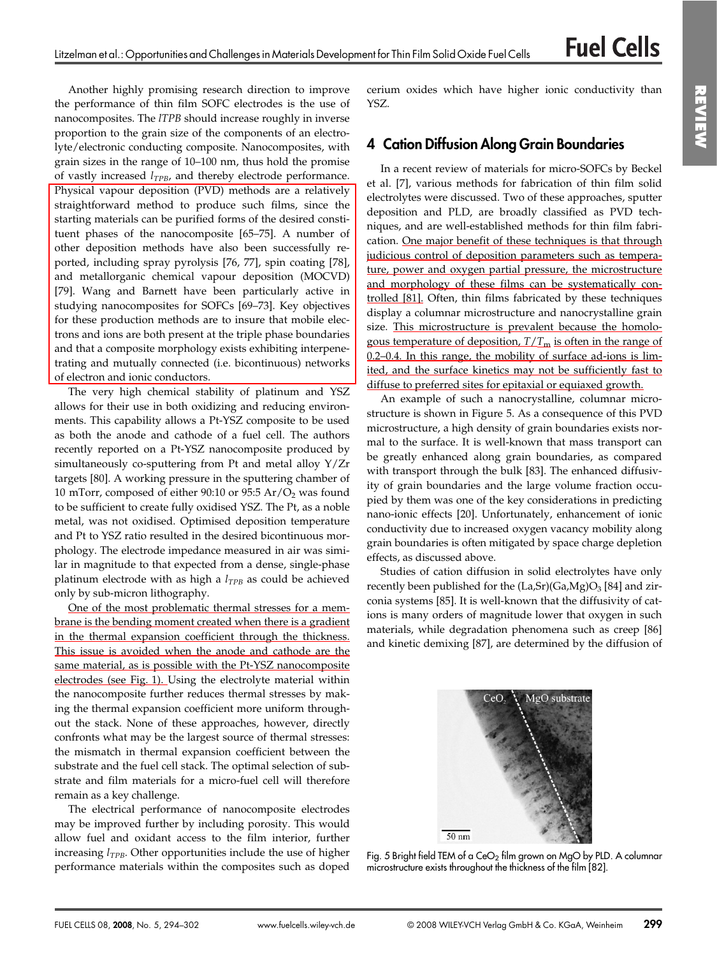Another highly promising research direction to improve the performance of thin film SOFC electrodes is the use of nanocomposites. The *lTPB* should increase roughly in inverse proportion to the grain size of the components of an electrolyte/electronic conducting composite. Nanocomposites, with grain sizes in the range of 10–100 nm, thus hold the promise of vastly increased *l<sub>TPB</sub>*, and thereby electrode performance. Physical vapour deposition (PVD) methods are a relatively straightforward method to produce such films, since the starting materials can be purified forms of the desired constituent phases of the nanocomposite [65–75]. A number of other deposition methods have also been successfully reported, including spray pyrolysis [76, 77], spin coating [78], and metallorganic chemical vapour deposition (MOCVD) [79]. Wang and Barnett have been particularly active in studying nanocomposites for SOFCs [69–73]. Key objectives for these production methods are to insure that mobile electrons and ions are both present at the triple phase boundaries and that a composite morphology exists exhibiting interpenetrating and mutually connected (i.e. bicontinuous) networks of electron and ionic conductors.

The very high chemical stability of platinum and YSZ allows for their use in both oxidizing and reducing environments. This capability allows a Pt-YSZ composite to be used as both the anode and cathode of a fuel cell. The authors recently reported on a Pt-YSZ nanocomposite produced by simultaneously co-sputtering from Pt and metal alloy Y/Zr targets [80]. A working pressure in the sputtering chamber of 10 mTorr, composed of either 90:10 or 95:5  $Ar/O<sub>2</sub>$  was found to be sufficient to create fully oxidised YSZ. The Pt, as a noble metal, was not oxidised. Optimised deposition temperature and Pt to YSZ ratio resulted in the desired bicontinuous morphology. The electrode impedance measured in air was similar in magnitude to that expected from a dense, single-phase platinum electrode with as high a  $l_{TPB}$  as could be achieved only by sub-micron lithography.

One of the most problematic thermal stresses for a membrane is the bending moment created when there is a gradient in the thermal expansion coefficient through the thickness. This issue is avoided when the anode and cathode are the same material, as is possible with the Pt-YSZ nanocomposite electrodes (see Fig. 1). Using the electrolyte material within the nanocomposite further reduces thermal stresses by making the thermal expansion coefficient more uniform throughout the stack. None of these approaches, however, directly confronts what may be the largest source of thermal stresses: the mismatch in thermal expansion coefficient between the substrate and the fuel cell stack. The optimal selection of substrate and film materials for a micro-fuel cell will therefore remain as a key challenge.

The electrical performance of nanocomposite electrodes may be improved further by including porosity. This would allow fuel and oxidant access to the film interior, further increasing  $l_{TPB}$ . Other opportunities include the use of higher performance materials within the composites such as doped cerium oxides which have higher ionic conductivity than YSZ.

# **4 Cation Diffusion Along Grain Boundaries**

In a recent review of materials for micro-SOFCs by Beckel et al. [7], various methods for fabrication of thin film solid electrolytes were discussed. Two of these approaches, sputter deposition and PLD, are broadly classified as PVD techniques, and are well-established methods for thin film fabrication. One major benefit of these techniques is that through judicious control of deposition parameters such as temperature, power and oxygen partial pressure, the microstructure and morphology of these films can be systematically controlled [81]. Often, thin films fabricated by these techniques display a columnar microstructure and nanocrystalline grain size. This microstructure is prevalent because the homologous temperature of deposition,  $T/T<sub>m</sub>$  is often in the range of 0.2–0.4. In this range, the mobility of surface ad-ions is limited, and the surface kinetics may not be sufficiently fast to diffuse to preferred sites for epitaxial or equiaxed growth.

An example of such a nanocrystalline, columnar microstructure is shown in Figure 5. As a consequence of this PVD microstructure, a high density of grain boundaries exists normal to the surface. It is well-known that mass transport can be greatly enhanced along grain boundaries, as compared with transport through the bulk [83]. The enhanced diffusivity of grain boundaries and the large volume fraction occupied by them was one of the key considerations in predicting nano-ionic effects [20]. Unfortunately, enhancement of ionic conductivity due to increased oxygen vacancy mobility along grain boundaries is often mitigated by space charge depletion effects, as discussed above.

Studies of cation diffusion in solid electrolytes have only recently been published for the  $(La, Sr)(Ga, Mg)O<sub>3</sub>$  [84] and zirconia systems [85]. It is well-known that the diffusivity of cations is many orders of magnitude lower that oxygen in such materials, while degradation phenomena such as creep [86] and kinetic demixing [87], are determined by the diffusion of



Fig. 5 Bright field TEM of a CeO<sub>2</sub> film grown on MgO by PLD. A columnar microstructure exists throughout the thickness of the film [82].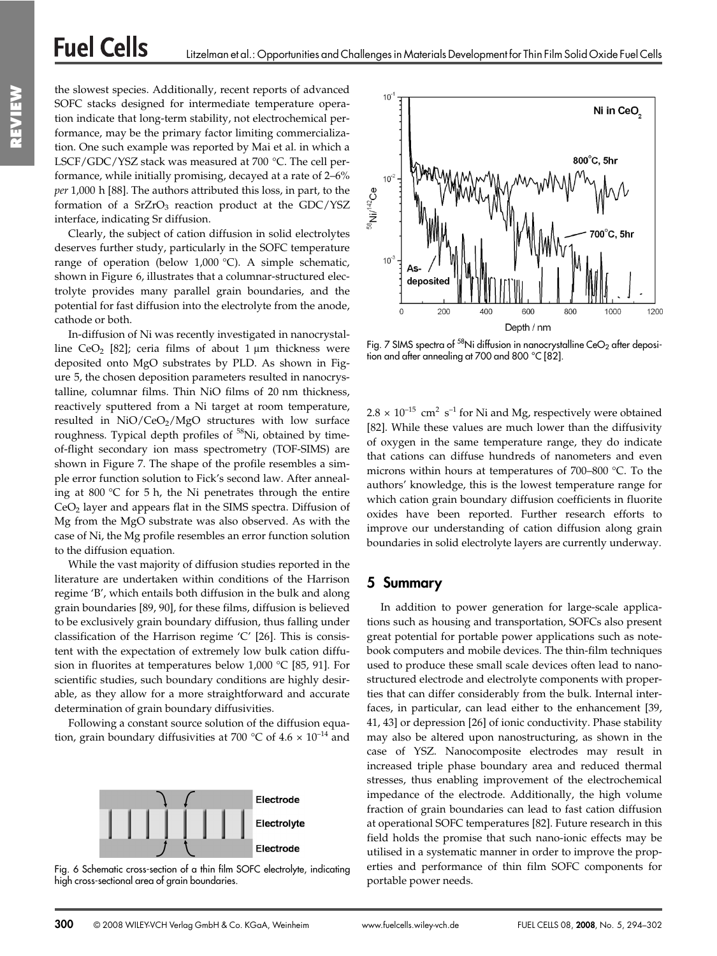the slowest species. Additionally, recent reports of advanced SOFC stacks designed for intermediate temperature operation indicate that long-term stability, not electrochemical performance, may be the primary factor limiting commercialization. One such example was reported by Mai et al. in which a LSCF/GDC/YSZ stack was measured at 700 °C. The cell performance, while initially promising, decayed at a rate of 2–6% *per* 1,000 h [88]. The authors attributed this loss, in part, to the formation of a  $SrZrO<sub>3</sub>$  reaction product at the GDC/YSZ interface, indicating Sr diffusion.

Clearly, the subject of cation diffusion in solid electrolytes deserves further study, particularly in the SOFC temperature range of operation (below 1,000 °C). A simple schematic, shown in Figure 6, illustrates that a columnar-structured electrolyte provides many parallel grain boundaries, and the potential for fast diffusion into the electrolyte from the anode, cathode or both.

In-diffusion of Ni was recently investigated in nanocrystalline CeO<sub>2</sub> [82]; ceria films of about  $1 \mu m$  thickness were deposited onto MgO substrates by PLD. As shown in Figure 5, the chosen deposition parameters resulted in nanocrystalline, columnar films. Thin NiO films of 20 nm thickness, reactively sputtered from a Ni target at room temperature, resulted in  $NiO/CeO<sub>2</sub>/MgO$  structures with low surface roughness. Typical depth profiles of  $58$ Ni, obtained by timeof-flight secondary ion mass spectrometry (TOF-SIMS) are shown in Figure 7. The shape of the profile resembles a simple error function solution to Fick's second law. After annealing at 800 °C for 5 h, the Ni penetrates through the entire CeO2 layer and appears flat in the SIMS spectra. Diffusion of Mg from the MgO substrate was also observed. As with the case of Ni, the Mg profile resembles an error function solution to the diffusion equation.

While the vast majority of diffusion studies reported in the literature are undertaken within conditions of the Harrison regime 'B', which entails both diffusion in the bulk and along grain boundaries [89, 90], for these films, diffusion is believed to be exclusively grain boundary diffusion, thus falling under classification of the Harrison regime 'C' [26]. This is consistent with the expectation of extremely low bulk cation diffusion in fluorites at temperatures below 1,000 °C [85, 91]. For scientific studies, such boundary conditions are highly desirable, as they allow for a more straightforward and accurate determination of grain boundary diffusivities.

Following a constant source solution of the diffusion equation, grain boundary diffusivities at 700 °C of 4.6  $\times$  10<sup>-14</sup> and



Fig. 6 Schematic cross-section of a thin film SOFC electrolyte, indicating high cross-sectional area of grain boundaries.



Fig. 7 SIMS spectra of  $58$ Ni diffusion in nanocrystalline CeO<sub>2</sub> after deposition and after annealing at 700 and 800 °C [82].

 $2.8 \times 10^{-15}$  cm<sup>2</sup> s<sup>-1</sup> for Ni and Mg, respectively were obtained [82]. While these values are much lower than the diffusivity of oxygen in the same temperature range, they do indicate that cations can diffuse hundreds of nanometers and even microns within hours at temperatures of 700–800 °C. To the authors' knowledge, this is the lowest temperature range for which cation grain boundary diffusion coefficients in fluorite oxides have been reported. Further research efforts to improve our understanding of cation diffusion along grain boundaries in solid electrolyte layers are currently underway.

## **5 Summary**

In addition to power generation for large-scale applications such as housing and transportation, SOFCs also present great potential for portable power applications such as notebook computers and mobile devices. The thin-film techniques used to produce these small scale devices often lead to nanostructured electrode and electrolyte components with properties that can differ considerably from the bulk. Internal interfaces, in particular, can lead either to the enhancement [39, 41, 43] or depression [26] of ionic conductivity. Phase stability may also be altered upon nanostructuring, as shown in the case of YSZ. Nanocomposite electrodes may result in increased triple phase boundary area and reduced thermal stresses, thus enabling improvement of the electrochemical impedance of the electrode. Additionally, the high volume fraction of grain boundaries can lead to fast cation diffusion at operational SOFC temperatures [82]. Future research in this field holds the promise that such nano-ionic effects may be utilised in a systematic manner in order to improve the properties and performance of thin film SOFC components for portable power needs.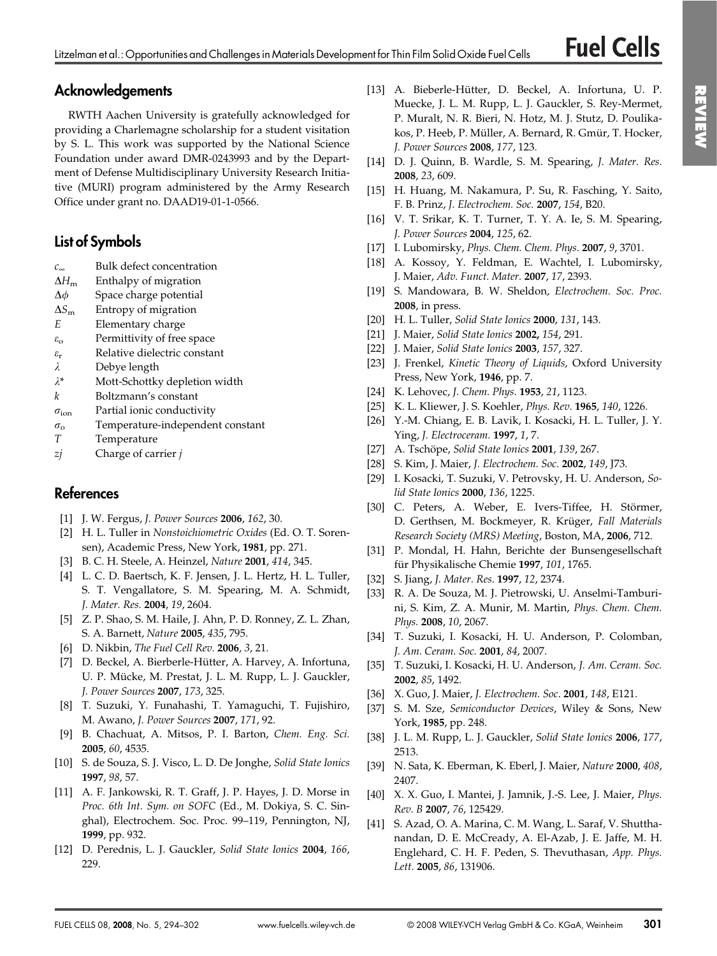# **Acknowledgements**

RWTH Aachen University is gratefully acknowledged for providing a Charlemagne scholarship for a student visitation by S. L. This work was supported by the National Science Foundation under award DMR-0243993 and by the Department of Defense Multidisciplinary University Research Initiative (MURI) program administered by the Army Research Office under grant no. DAAD19-01-1-0566.

# **List of Symbols**

- *c*∞ Bulk defect concentration ΔH<sub>m</sub> Enthalpy of migration
- Enthalpy of migration
- $\Delta\phi$ Space charge potential
- $\Delta S_m$  Entropy of migration
- *E* Elementary charge
- *e*<sup>o</sup> Permittivity of free space
- *e*<sup>r</sup> Relative dielectric constant
- *k* Debye length
- *k*\* Mott-Schottky depletion width
- *k* Boltzmann's constant
- $\sigma$ <sub>ion</sub> Partial ionic conductivity
- *r*<sup>o</sup> Temperature-independent constant
- *T* Temperature
- *zj* Charge of carrier *j*

## **References**

- [1] J. W. Fergus, *J. Power Sources* **2006**, *162*, 30.
- [2] H. L. Tuller in *Nonstoichiometric Oxides* (Ed. O. T. Sorensen), Academic Press, New York, **1981**, pp. 271.
- [3] B. C. H. Steele, A. Heinzel, *Nature* **2001**, *414*, 345.
- [4] L. C. D. Baertsch, K. F. Jensen, J. L. Hertz, H. L. Tuller, S. T. Vengallatore, S. M. Spearing, M. A. Schmidt, *J. Mater. Res.* **2004**, *19*, 2604.
- [5] Z. P. Shao, S. M. Haile, J. Ahn, P. D. Ronney, Z. L. Zhan, S. A. Barnett, *Nature* **2005**, *435*, 795.
- [6] D. Nikbin, *The Fuel Cell Rev.* **2006**, *3*, 21.
- [7] D. Beckel, A. Bierberle-Hütter, A. Harvey, A. Infortuna, U. P. Mücke, M. Prestat, J. L. M. Rupp, L. J. Gauckler, *J. Power Sources* **2007**, *173*, 325.
- [8] T. Suzuki, Y. Funahashi, T. Yamaguchi, T. Fujishiro, M. Awano, *J. Power Sources* **2007**, *171*, 92.
- [9] B. Chachuat, A. Mitsos, P. I. Barton, *Chem. Eng. Sci.* **2005**, *60*, 4535.
- [10] S. de Souza, S. J. Visco, L. D. De Jonghe, *Solid State Ionics* **1997**, *98*, 57.
- [11] A. F. Jankowski, R. T. Graff, J. P. Hayes, J. D. Morse in *Proc. 6th Int. Sym. on SOFC* (Ed., M. Dokiya, S. C. Singhal), Electrochem. Soc. Proc. 99–119, Pennington, NJ, **1999**, pp. 932.
- [12] D. Perednis, L. J. Gauckler, *Solid State Ionics* **2004**, *166*, 229.
- [13] A. Bieberle-Hütter, D. Beckel, A. Infortuna, U. P. Muecke, J. L. M. Rupp, L. J. Gauckler, S. Rey-Mermet, P. Muralt, N. R. Bieri, N. Hotz, M. J. Stutz, D. Poulikakos, P. Heeb, P. Müller, A. Bernard, R. Gmür, T. Hocker, *J. Power Sources* **2008**, *177*, 123.
- [14] D. J. Quinn, B. Wardle, S. M. Spearing, *J. Mater. Res.* **2008**, *23*, 609.
- [15] H. Huang, M. Nakamura, P. Su, R. Fasching, Y. Saito, F. B. Prinz, *J. Electrochem. Soc.* **2007**, *154*, B20.
- [16] V. T. Srikar, K. T. Turner, T. Y. A. Ie, S. M. Spearing, *J. Power Sources* **2004**, *125*, 62.
- [17] I. Lubomirsky, *Phys. Chem. Chem. Phys.* **2007**, *9*, 3701.
- [18] A. Kossoy, Y. Feldman, E. Wachtel, I. Lubomirsky, J. Maier, *Adv. Funct. Mater.* **2007**, *17*, 2393.
- [19] S. Mandowara, B. W. Sheldon, *Electrochem. Soc. Proc.* **2008**, in press.
- [20] H. L. Tuller, *Solid State Ionics* **2000**, *131*, 143.
- [21] J. Maier, *Solid State Ionics* **2002,** *154*, 291.
- [22] J. Maier, *Solid State Ionics* **2003**, *157*, 327.
- [23] J. Frenkel, *Kinetic Theory of Liquids*, Oxford University Press, New York, **1946**, pp. 7.
- [24] K. Lehovec, *J. Chem. Phys*. **1953**, *21*, 1123.
- [25] K. L. Kliewer, J. S. Koehler, *Phys. Rev.* **1965**, *140*, 1226.
- [26] Y.-M. Chiang, E. B. Lavik, I. Kosacki, H. L. Tuller, J. Y. Ying, *J. Electroceram.* **1997**, *1*, 7.
- [27] A. Tschöpe, *Solid State Ionics* **2001**, *139*, 267.
- [28] S. Kim, J. Maier, *J. Electrochem. Soc.* **2002**, *149*, J73.
- [29] I. Kosacki, T. Suzuki, V. Petrovsky, H. U. Anderson, *Solid State Ionics* **2000**, *136*, 1225.
- [30] C. Peters, A. Weber, E. Ivers-Tiffee, H. Störmer, D. Gerthsen, M. Bockmeyer, R. Krüger, *Fall Materials Research Society (MRS) Meeting*, Boston, MA, **2006**, 712.
- [31] P. Mondal, H. Hahn, Berichte der Bunsengesellschaft für Physikalische Chemie **1997**, *101*, 1765.
- [32] S. Jiang, *J. Mater. Res*. **1997**, *12*, 2374.
- [33] R. A. De Souza, M. J. Pietrowski, U. Anselmi-Tamburini, S. Kim, Z. A. Munir, M. Martin, *Phys. Chem. Chem. Phys.* **2008**, *10*, 2067.
- [34] T. Suzuki, I. Kosacki, H. U. Anderson, P. Colomban, *J. Am. Ceram. Soc.* **2001**, *84*, 2007.
- [35] T. Suzuki, I. Kosacki, H. U. Anderson, *J. Am. Ceram. Soc.* **2002**, *85*, 1492.
- [36] X. Guo, J. Maier, *J. Electrochem. Soc*. **2001**, *148*, E121.
- [37] S. M. Sze, *Semiconductor Devices*, Wiley & Sons, New York, **1985**, pp. 248.
- [38] J. L. M. Rupp, L. J. Gauckler, *Solid State Ionics* **2006**, *177*, 2513.
- [39] N. Sata, K. Eberman, K. Eberl, J. Maier, *Nature* **2000**, *408*, 2407.
- [40] X. X. Guo, I. Mantei, J. Jamnik, J.-S. Lee, J. Maier, *Phys. Rev. B* **2007**, *76*, 125429.
- [41] S. Azad, O. A. Marina, C. M. Wang, L. Saraf, V. Shutthanandan, D. E. McCready, A. El-Azab, J. E. Jaffe, M. H. Englehard, C. H. F. Peden, S. Thevuthasan, *App. Phys. Lett.* **2005**, *86*, 131906.